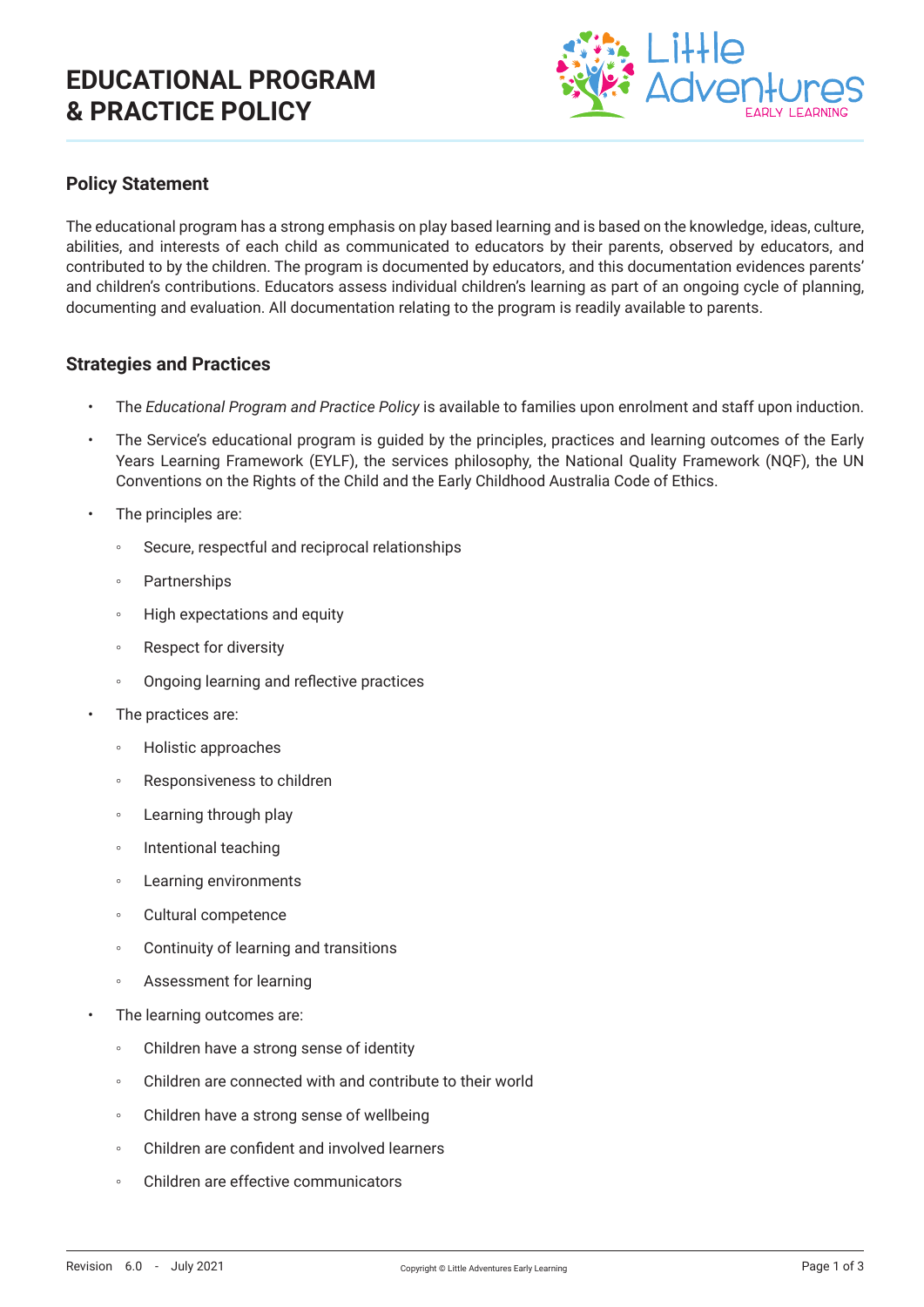# **EDUCATIONAL PROGRAM & PRACTICE POLICY**



### **Policy Statement**

The educational program has a strong emphasis on play based learning and is based on the knowledge, ideas, culture, abilities, and interests of each child as communicated to educators by their parents, observed by educators, and contributed to by the children. The program is documented by educators, and this documentation evidences parents' and children's contributions. Educators assess individual children's learning as part of an ongoing cycle of planning, documenting and evaluation. All documentation relating to the program is readily available to parents.

#### **Strategies and Practices**

- The *Educational Program and Practice Policy* is available to families upon enrolment and staff upon induction.
- The Service's educational program is guided by the principles, practices and learning outcomes of the Early Years Learning Framework (EYLF), the services philosophy, the National Quality Framework (NQF), the UN Conventions on the Rights of the Child and the Early Childhood Australia Code of Ethics.
- The principles are:
	- Secure, respectful and reciprocal relationships
	- Partnerships
	- High expectations and equity
	- Respect for diversity
	- Ongoing learning and reflective practices
- The practices are:
	- Holistic approaches
	- Responsiveness to children
	- Learning through play
	- Intentional teaching
	- Learning environments
	- Cultural competence
	- Continuity of learning and transitions
	- Assessment for learning
- The learning outcomes are:
	- Children have a strong sense of identity
	- Children are connected with and contribute to their world
	- Children have a strong sense of wellbeing
	- Children are confident and involved learners
	- Children are effective communicators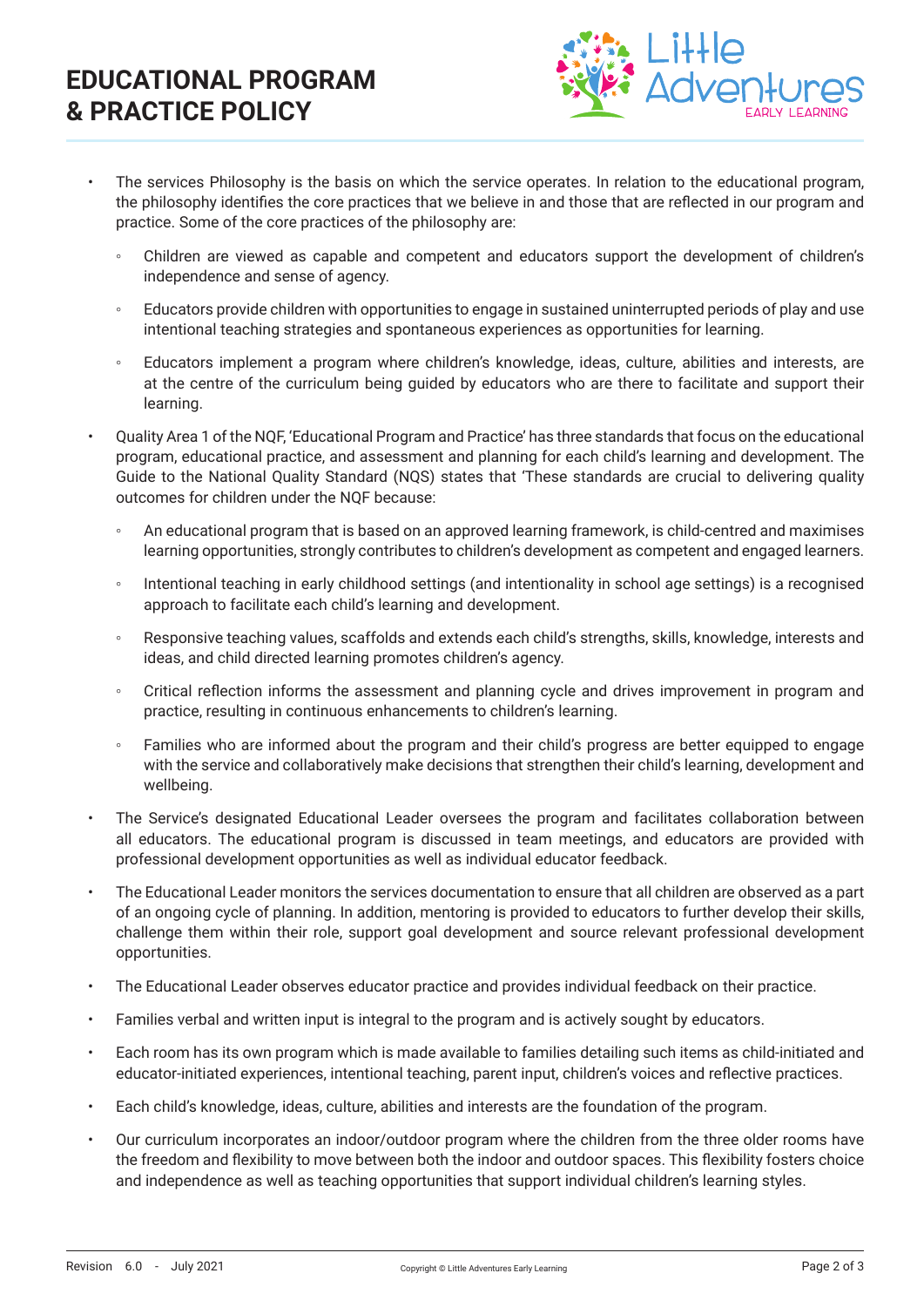# **EDUCATIONAL PROGRAM & PRACTICE POLICY**



- The services Philosophy is the basis on which the service operates. In relation to the educational program, the philosophy identifies the core practices that we believe in and those that are reflected in our program and practice. Some of the core practices of the philosophy are:
	- Children are viewed as capable and competent and educators support the development of children's independence and sense of agency.
	- Educators provide children with opportunities to engage in sustained uninterrupted periods of play and use intentional teaching strategies and spontaneous experiences as opportunities for learning.
	- Educators implement a program where children's knowledge, ideas, culture, abilities and interests, are at the centre of the curriculum being guided by educators who are there to facilitate and support their learning.
- Quality Area 1 of the NQF, 'Educational Program and Practice' has three standards that focus on the educational program, educational practice, and assessment and planning for each child's learning and development. The Guide to the National Quality Standard (NQS) states that 'These standards are crucial to delivering quality outcomes for children under the NQF because:
	- An educational program that is based on an approved learning framework, is child-centred and maximises learning opportunities, strongly contributes to children's development as competent and engaged learners.
	- Intentional teaching in early childhood settings (and intentionality in school age settings) is a recognised approach to facilitate each child's learning and development.
	- Responsive teaching values, scaffolds and extends each child's strengths, skills, knowledge, interests and ideas, and child directed learning promotes children's agency.
	- Critical reflection informs the assessment and planning cycle and drives improvement in program and practice, resulting in continuous enhancements to children's learning.
	- Families who are informed about the program and their child's progress are better equipped to engage with the service and collaboratively make decisions that strengthen their child's learning, development and wellbeing.
- The Service's designated Educational Leader oversees the program and facilitates collaboration between all educators. The educational program is discussed in team meetings, and educators are provided with professional development opportunities as well as individual educator feedback.
- The Educational Leader monitors the services documentation to ensure that all children are observed as a part of an ongoing cycle of planning. In addition, mentoring is provided to educators to further develop their skills, challenge them within their role, support goal development and source relevant professional development opportunities.
- The Educational Leader observes educator practice and provides individual feedback on their practice.
- Families verbal and written input is integral to the program and is actively sought by educators.
- Each room has its own program which is made available to families detailing such items as child-initiated and educator-initiated experiences, intentional teaching, parent input, children's voices and reflective practices.
- Each child's knowledge, ideas, culture, abilities and interests are the foundation of the program.
- Our curriculum incorporates an indoor/outdoor program where the children from the three older rooms have the freedom and flexibility to move between both the indoor and outdoor spaces. This flexibility fosters choice and independence as well as teaching opportunities that support individual children's learning styles.